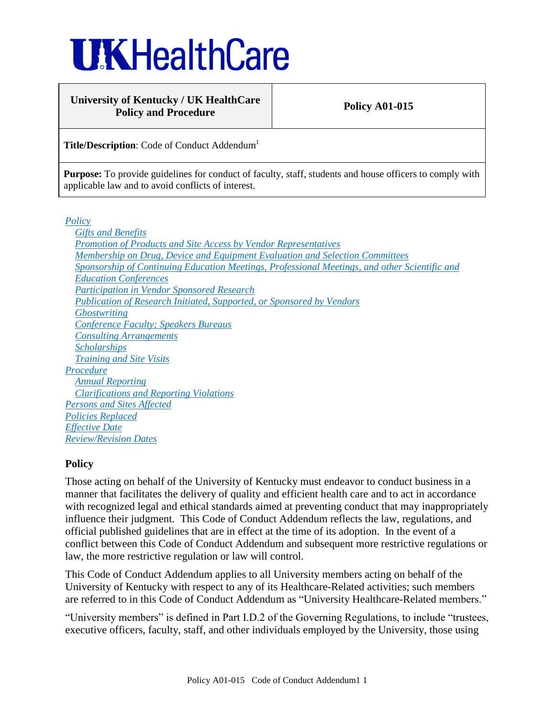# **UKHealthCare**

## **University of Kentucky / UK HealthCare** Policy and Procedure **Policy A01-015**

**Title/Description:** Code of Conduct Addendum<sup>1</sup>

Purpose: To provide guidelines for conduct of faculty, staff, students and house officers to comply with applicable law and to avoid conflicts of interest.

*[Policy](#page-0-0)*

*[Gifts and Benefits](#page-1-0) [Promotion of Products and Site Access by Vendor Representatives](#page-3-0) [Membership on Drug, Device and Equipment Evaluation and Selection Committees](#page-4-0) [Sponsorship of Continuing Education Meetings, Professional Meetings, and other Scientific and](#page-5-0)  [Education Conferences](#page-5-0) [Participation in Vendor Sponsored Research](#page-6-0) [Publication of Research Initiated, Supported, or Sponsored by Vendors](#page-6-1) [Ghostwriting](#page-6-2) [Conference Faculty; Speakers Bureaus](#page-7-0) [Consulting Arrangements](#page-7-1) [Scholarships](#page-8-0) [Training and Site Visits](#page-9-0) [Procedure](#page-9-1) [Annual Reporting](#page-9-2) [Clarifications and Reporting Violations](#page-10-0) [Persons and Sites Affected](#page-10-1) [Policies Replaced](#page-10-2) [Effective Date](#page-10-3) [Review/Revision Dates](#page-10-4)*

# <span id="page-0-0"></span>**Policy**

Those acting on behalf of the University of Kentucky must endeavor to conduct business in a manner that facilitates the delivery of quality and efficient health care and to act in accordance with recognized legal and ethical standards aimed at preventing conduct that may inappropriately influence their judgment. This Code of Conduct Addendum reflects the law, regulations, and official published guidelines that are in effect at the time of its adoption. In the event of a conflict between this Code of Conduct Addendum and subsequent more restrictive regulations or law, the more restrictive regulation or law will control.

This Code of Conduct Addendum applies to all University members acting on behalf of the University of Kentucky with respect to any of its Healthcare-Related activities; such members are referred to in this Code of Conduct Addendum as "University Healthcare-Related members."

"University members" is defined in Part I.D.2 of the Governing Regulations, to include "trustees, executive officers, faculty, staff, and other individuals employed by the University, those using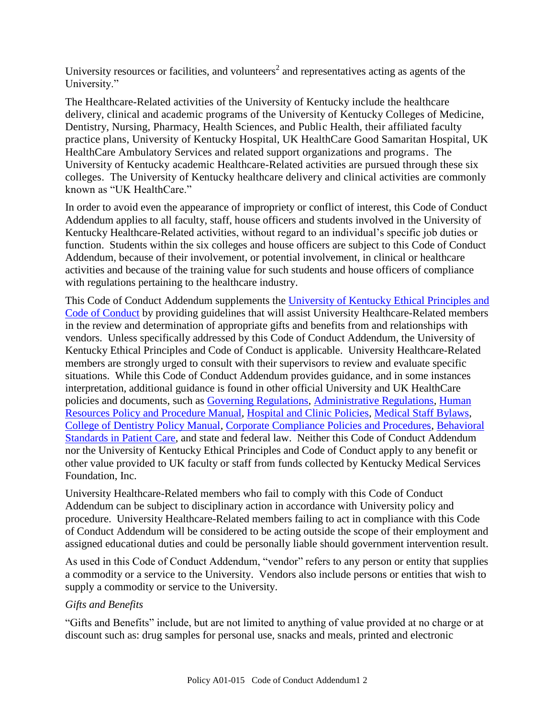University resources or facilities, and volunteers<sup>2</sup> and representatives acting as agents of the University."

The Healthcare-Related activities of the University of Kentucky include the healthcare delivery, clinical and academic programs of the University of Kentucky Colleges of Medicine, Dentistry, Nursing, Pharmacy, Health Sciences, and Public Health, their affiliated faculty practice plans, University of Kentucky Hospital, UK HealthCare Good Samaritan Hospital, UK HealthCare Ambulatory Services and related support organizations and programs. The University of Kentucky academic Healthcare-Related activities are pursued through these six colleges. The University of Kentucky healthcare delivery and clinical activities are commonly known as "UK HealthCare."

In order to avoid even the appearance of impropriety or conflict of interest, this Code of Conduct Addendum applies to all faculty, staff, house officers and students involved in the University of Kentucky Healthcare-Related activities, without regard to an individual's specific job duties or function. Students within the six colleges and house officers are subject to this Code of Conduct Addendum, because of their involvement, or potential involvement, in clinical or healthcare activities and because of the training value for such students and house officers of compliance with regulations pertaining to the healthcare industry.

This Code of Conduct Addendum supplements the [University of Kentucky Ethical Principles and](http://www.uky.edu/Legal/ethicscode.htm)  [Code of Conduct](http://www.uky.edu/Legal/ethicscode.htm) by providing guidelines that will assist University Healthcare-Related members in the review and determination of appropriate gifts and benefits from and relationships with vendors. Unless specifically addressed by this Code of Conduct Addendum, the University of Kentucky Ethical Principles and Code of Conduct is applicable. University Healthcare-Related members are strongly urged to consult with their supervisors to review and evaluate specific situations. While this Code of Conduct Addendum provides guidance, and in some instances interpretation, additional guidance is found in other official University and UK HealthCare policies and documents, such as [Governing Regulations,](http://www.uky.edu/Regs/gr.htm) [Administrative Regulations,](http://www.uky.edu/Regs/ar.htm) [Human](http://www.uky.edu/HR/policies/)  [Resources Policy and Procedure Manual,](http://www.uky.edu/HR/policies/) [Hospital and Clinic Policies,](http://www.hosp.uky.edu/policies/viewpolicy.asp?PolicyManual=10&PolicyID=917) [Medical Staff Bylaws,](http://www.hosp.uky.edu/policies/bylaws/2007Bylaws.pdf) [College of Dentistry Policy Manual,](http://www.mc.uky.edu/Dentistry/students/dmd/ClinicManual08-09.pdf) [Corporate Compliance Policies and Procedures,](http://www.ukhealthcare.uky.edu/forstaff/compliance/comply_about.htm) [Behavioral](http://www.uky.edu/Provost/APFA/HCC_Documents/Behavioral%20Standards%2010-13-2008.pdf)  [Standards in Patient Care,](http://www.uky.edu/Provost/APFA/HCC_Documents/Behavioral%20Standards%2010-13-2008.pdf) and state and federal law. Neither this Code of Conduct Addendum nor the University of Kentucky Ethical Principles and Code of Conduct apply to any benefit or other value provided to UK faculty or staff from funds collected by Kentucky Medical Services Foundation, Inc.

University Healthcare-Related members who fail to comply with this Code of Conduct Addendum can be subject to disciplinary action in accordance with University policy and procedure. University Healthcare-Related members failing to act in compliance with this Code of Conduct Addendum will be considered to be acting outside the scope of their employment and assigned educational duties and could be personally liable should government intervention result.

As used in this Code of Conduct Addendum, "vendor" refers to any person or entity that supplies a commodity or a service to the University. Vendors also include persons or entities that wish to supply a commodity or service to the University.

## <span id="page-1-0"></span>*Gifts and Benefits*

"Gifts and Benefits" include, but are not limited to anything of value provided at no charge or at discount such as: drug samples for personal use, snacks and meals, printed and electronic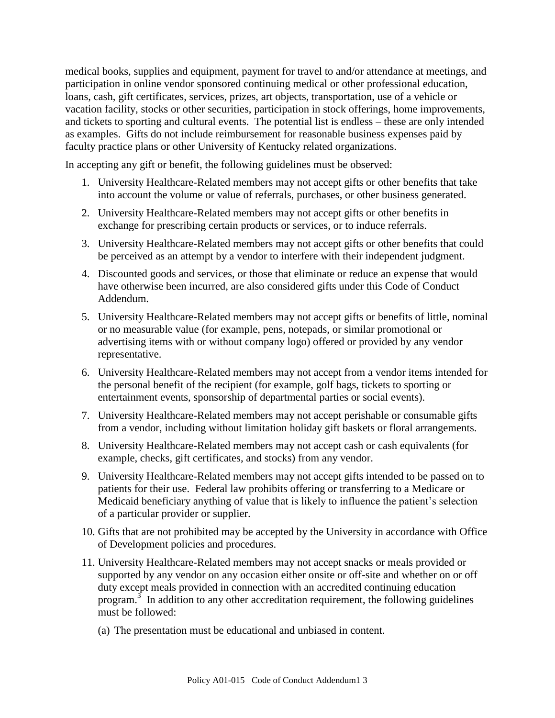medical books, supplies and equipment, payment for travel to and/or attendance at meetings, and participation in online vendor sponsored continuing medical or other professional education, loans, cash, gift certificates, services, prizes, art objects, transportation, use of a vehicle or vacation facility, stocks or other securities, participation in stock offerings, home improvements, and tickets to sporting and cultural events. The potential list is endless – these are only intended as examples. Gifts do not include reimbursement for reasonable business expenses paid by faculty practice plans or other University of Kentucky related organizations.

In accepting any gift or benefit, the following guidelines must be observed:

- 1. University Healthcare-Related members may not accept gifts or other benefits that take into account the volume or value of referrals, purchases, or other business generated.
- 2. University Healthcare-Related members may not accept gifts or other benefits in exchange for prescribing certain products or services, or to induce referrals.
- 3. University Healthcare-Related members may not accept gifts or other benefits that could be perceived as an attempt by a vendor to interfere with their independent judgment.
- 4. Discounted goods and services, or those that eliminate or reduce an expense that would have otherwise been incurred, are also considered gifts under this Code of Conduct Addendum.
- 5. University Healthcare-Related members may not accept gifts or benefits of little, nominal or no measurable value (for example, pens, notepads, or similar promotional or advertising items with or without company logo) offered or provided by any vendor representative.
- 6. University Healthcare-Related members may not accept from a vendor items intended for the personal benefit of the recipient (for example, golf bags, tickets to sporting or entertainment events, sponsorship of departmental parties or social events).
- 7. University Healthcare-Related members may not accept perishable or consumable gifts from a vendor, including without limitation holiday gift baskets or floral arrangements.
- 8. University Healthcare-Related members may not accept cash or cash equivalents (for example, checks, gift certificates, and stocks) from any vendor.
- 9. University Healthcare-Related members may not accept gifts intended to be passed on to patients for their use. Federal law prohibits offering or transferring to a Medicare or Medicaid beneficiary anything of value that is likely to influence the patient's selection of a particular provider or supplier.
- 10. Gifts that are not prohibited may be accepted by the University in accordance with Office of Development policies and procedures.
- 11. University Healthcare-Related members may not accept snacks or meals provided or supported by any vendor on any occasion either onsite or off-site and whether on or off duty except meals provided in connection with an accredited continuing education program.<sup>3</sup> In addition to any other accreditation requirement, the following guidelines must be followed:
	- (a) The presentation must be educational and unbiased in content.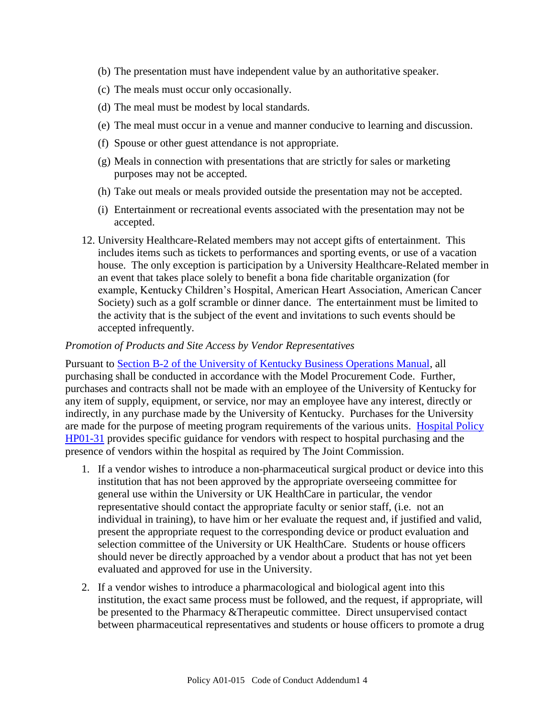- (b) The presentation must have independent value by an authoritative speaker.
- (c) The meals must occur only occasionally.
- (d) The meal must be modest by local standards.
- (e) The meal must occur in a venue and manner conducive to learning and discussion.
- (f) Spouse or other guest attendance is not appropriate.
- (g) Meals in connection with presentations that are strictly for sales or marketing purposes may not be accepted.
- (h) Take out meals or meals provided outside the presentation may not be accepted.
- (i) Entertainment or recreational events associated with the presentation may not be accepted.
- 12. University Healthcare-Related members may not accept gifts of entertainment. This includes items such as tickets to performances and sporting events, or use of a vacation house. The only exception is participation by a University Healthcare-Related member in an event that takes place solely to benefit a bona fide charitable organization (for example, Kentucky Children's Hospital, American Heart Association, American Cancer Society) such as a golf scramble or dinner dance. The entertainment must be limited to the activity that is the subject of the event and invitations to such events should be accepted infrequently.

#### <span id="page-3-0"></span>*Promotion of Products and Site Access by Vendor Representatives*

Pursuant to [Section B-2 of the University of Kentucky Business Operations Manual,](http://www.uky.edu/EVPFA/Controller/files/BPM/B-2.pdf) all purchasing shall be conducted in accordance with the Model Procurement Code. Further, purchases and contracts shall not be made with an employee of the University of Kentucky for any item of supply, equipment, or service, nor may an employee have any interest, directly or indirectly, in any purchase made by the University of Kentucky. Purchases for the University are made for the purpose of meeting program requirements of the various units. [Hospital Policy](http://www.hosp.uky.edu/policies/viewpolicy.asp?PolicyManual=10&PolicyID=793)  [HP01-31](http://www.hosp.uky.edu/policies/viewpolicy.asp?PolicyManual=10&PolicyID=793) provides specific guidance for vendors with respect to hospital purchasing and the presence of vendors within the hospital as required by The Joint Commission.

- 1. If a vendor wishes to introduce a non-pharmaceutical surgical product or device into this institution that has not been approved by the appropriate overseeing committee for general use within the University or UK HealthCare in particular, the vendor representative should contact the appropriate faculty or senior staff, (i.e. not an individual in training), to have him or her evaluate the request and, if justified and valid, present the appropriate request to the corresponding device or product evaluation and selection committee of the University or UK HealthCare. Students or house officers should never be directly approached by a vendor about a product that has not yet been evaluated and approved for use in the University.
- 2. If a vendor wishes to introduce a pharmacological and biological agent into this institution, the exact same process must be followed, and the request, if appropriate, will be presented to the Pharmacy &Therapeutic committee. Direct unsupervised contact between pharmaceutical representatives and students or house officers to promote a drug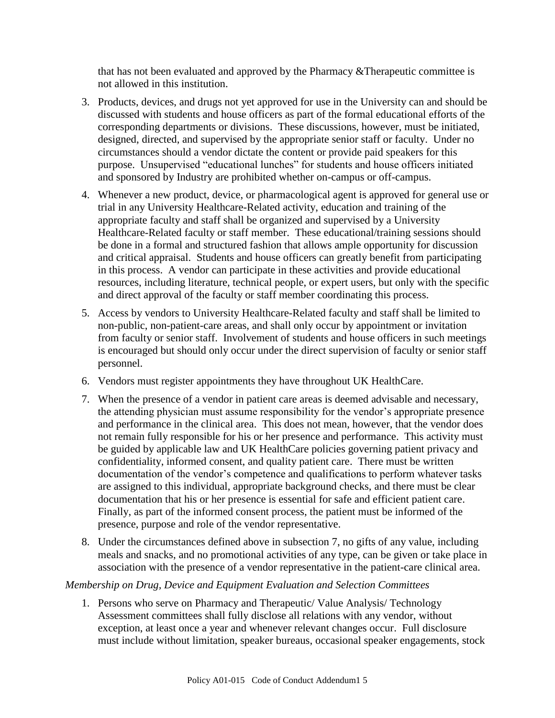that has not been evaluated and approved by the Pharmacy &Therapeutic committee is not allowed in this institution.

- 3. Products, devices, and drugs not yet approved for use in the University can and should be discussed with students and house officers as part of the formal educational efforts of the corresponding departments or divisions. These discussions, however, must be initiated, designed, directed, and supervised by the appropriate senior staff or faculty. Under no circumstances should a vendor dictate the content or provide paid speakers for this purpose. Unsupervised "educational lunches" for students and house officers initiated and sponsored by Industry are prohibited whether on-campus or off-campus.
- 4. Whenever a new product, device, or pharmacological agent is approved for general use or trial in any University Healthcare-Related activity, education and training of the appropriate faculty and staff shall be organized and supervised by a University Healthcare-Related faculty or staff member. These educational/training sessions should be done in a formal and structured fashion that allows ample opportunity for discussion and critical appraisal. Students and house officers can greatly benefit from participating in this process. A vendor can participate in these activities and provide educational resources, including literature, technical people, or expert users, but only with the specific and direct approval of the faculty or staff member coordinating this process.
- 5. Access by vendors to University Healthcare-Related faculty and staff shall be limited to non-public, non-patient-care areas, and shall only occur by appointment or invitation from faculty or senior staff. Involvement of students and house officers in such meetings is encouraged but should only occur under the direct supervision of faculty or senior staff personnel.
- 6. Vendors must register appointments they have throughout UK HealthCare.
- 7. When the presence of a vendor in patient care areas is deemed advisable and necessary, the attending physician must assume responsibility for the vendor's appropriate presence and performance in the clinical area. This does not mean, however, that the vendor does not remain fully responsible for his or her presence and performance. This activity must be guided by applicable law and UK HealthCare policies governing patient privacy and confidentiality, informed consent, and quality patient care. There must be written documentation of the vendor's competence and qualifications to perform whatever tasks are assigned to this individual, appropriate background checks, and there must be clear documentation that his or her presence is essential for safe and efficient patient care. Finally, as part of the informed consent process, the patient must be informed of the presence, purpose and role of the vendor representative.
- 8. Under the circumstances defined above in subsection 7, no gifts of any value, including meals and snacks, and no promotional activities of any type, can be given or take place in association with the presence of a vendor representative in the patient-care clinical area.

# <span id="page-4-0"></span>*Membership on Drug, Device and Equipment Evaluation and Selection Committees*

1. Persons who serve on Pharmacy and Therapeutic/ Value Analysis/ Technology Assessment committees shall fully disclose all relations with any vendor, without exception, at least once a year and whenever relevant changes occur. Full disclosure must include without limitation, speaker bureaus, occasional speaker engagements, stock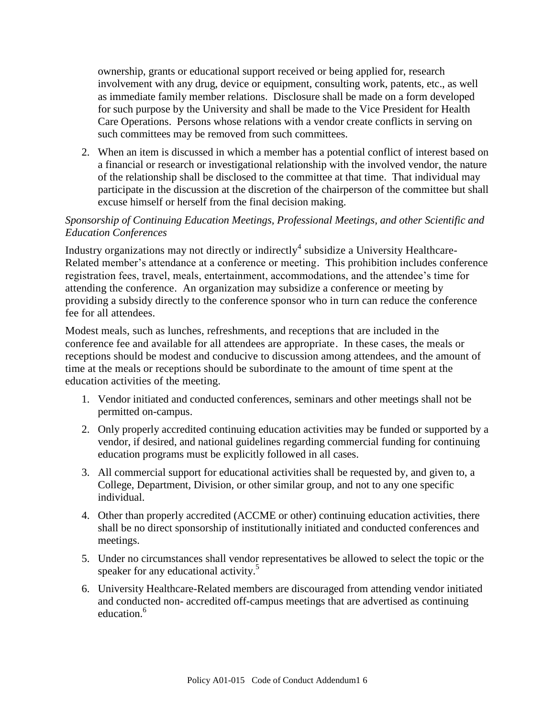ownership, grants or educational support received or being applied for, research involvement with any drug, device or equipment, consulting work, patents, etc., as well as immediate family member relations. Disclosure shall be made on a form developed for such purpose by the University and shall be made to the Vice President for Health Care Operations. Persons whose relations with a vendor create conflicts in serving on such committees may be removed from such committees.

2. When an item is discussed in which a member has a potential conflict of interest based on a financial or research or investigational relationship with the involved vendor, the nature of the relationship shall be disclosed to the committee at that time. That individual may participate in the discussion at the discretion of the chairperson of the committee but shall excuse himself or herself from the final decision making.

## <span id="page-5-0"></span>*Sponsorship of Continuing Education Meetings, Professional Meetings, and other Scientific and Education Conferences*

Industry organizations may not directly or indirectly<sup>4</sup> subsidize a University Healthcare-Related member's attendance at a conference or meeting. This prohibition includes conference registration fees, travel, meals, entertainment, accommodations, and the attendee's time for attending the conference. An organization may subsidize a conference or meeting by providing a subsidy directly to the conference sponsor who in turn can reduce the conference fee for all attendees.

Modest meals, such as lunches, refreshments, and receptions that are included in the conference fee and available for all attendees are appropriate. In these cases, the meals or receptions should be modest and conducive to discussion among attendees, and the amount of time at the meals or receptions should be subordinate to the amount of time spent at the education activities of the meeting.

- 1. Vendor initiated and conducted conferences, seminars and other meetings shall not be permitted on-campus.
- 2. Only properly accredited continuing education activities may be funded or supported by a vendor, if desired, and national guidelines regarding commercial funding for continuing education programs must be explicitly followed in all cases.
- 3. All commercial support for educational activities shall be requested by, and given to, a College, Department, Division, or other similar group, and not to any one specific individual.
- 4. Other than properly accredited (ACCME or other) continuing education activities, there shall be no direct sponsorship of institutionally initiated and conducted conferences and meetings.
- 5. Under no circumstances shall vendor representatives be allowed to select the topic or the speaker for any educational activity.<sup>5</sup>
- 6. University Healthcare-Related members are discouraged from attending vendor initiated and conducted non- accredited off-campus meetings that are advertised as continuing education.<sup>6</sup>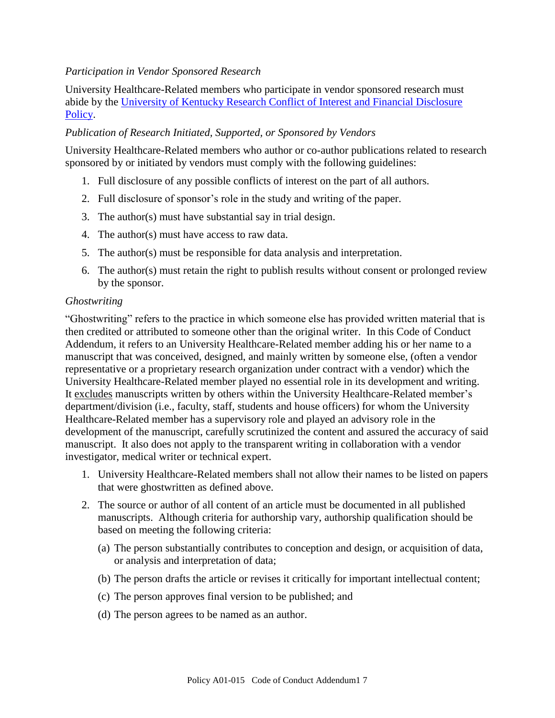## <span id="page-6-0"></span>*Participation in Vendor Sponsored Research*

University Healthcare-Related members who participate in vendor sponsored research must abide by the [University of Kentucky Research Conflict of Interest and Financial Disclosure](http://www.uky.edu/Regs/files/ar/ar070.pdf)  [Policy.](http://www.uky.edu/Regs/files/ar/ar070.pdf)

## <span id="page-6-1"></span>*Publication of Research Initiated, Supported, or Sponsored by Vendors*

University Healthcare-Related members who author or co-author publications related to research sponsored by or initiated by vendors must comply with the following guidelines:

- 1. Full disclosure of any possible conflicts of interest on the part of all authors.
- 2. Full disclosure of sponsor's role in the study and writing of the paper.
- 3. The author(s) must have substantial say in trial design.
- 4. The author(s) must have access to raw data.
- 5. The author(s) must be responsible for data analysis and interpretation.
- 6. The author(s) must retain the right to publish results without consent or prolonged review by the sponsor.

#### <span id="page-6-2"></span>*Ghostwriting*

"Ghostwriting" refers to the practice in which someone else has provided written material that is then credited or attributed to someone other than the original writer. In this Code of Conduct Addendum, it refers to an University Healthcare-Related member adding his or her name to a manuscript that was conceived, designed, and mainly written by someone else, (often a vendor representative or a proprietary research organization under contract with a vendor) which the University Healthcare-Related member played no essential role in its development and writing. It excludes manuscripts written by others within the University Healthcare-Related member's department/division (i.e., faculty, staff, students and house officers) for whom the University Healthcare-Related member has a supervisory role and played an advisory role in the development of the manuscript, carefully scrutinized the content and assured the accuracy of said manuscript. It also does not apply to the transparent writing in collaboration with a vendor investigator, medical writer or technical expert.

- 1. University Healthcare-Related members shall not allow their names to be listed on papers that were ghostwritten as defined above.
- 2. The source or author of all content of an article must be documented in all published manuscripts. Although criteria for authorship vary, authorship qualification should be based on meeting the following criteria:
	- (a) The person substantially contributes to conception and design, or acquisition of data, or analysis and interpretation of data;
	- (b) The person drafts the article or revises it critically for important intellectual content;
	- (c) The person approves final version to be published; and
	- (d) The person agrees to be named as an author.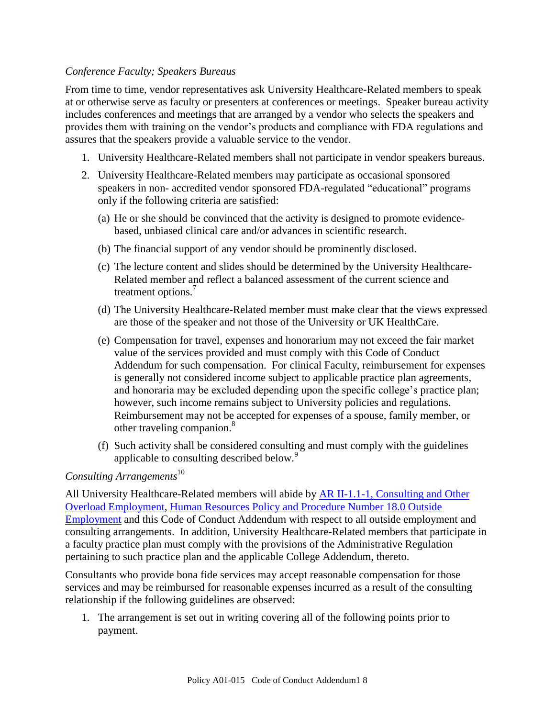## <span id="page-7-0"></span>*Conference Faculty; Speakers Bureaus*

From time to time, vendor representatives ask University Healthcare-Related members to speak at or otherwise serve as faculty or presenters at conferences or meetings. Speaker bureau activity includes conferences and meetings that are arranged by a vendor who selects the speakers and provides them with training on the vendor's products and compliance with FDA regulations and assures that the speakers provide a valuable service to the vendor.

- 1. University Healthcare-Related members shall not participate in vendor speakers bureaus.
- 2. University Healthcare-Related members may participate as occasional sponsored speakers in non- accredited vendor sponsored FDA-regulated "educational" programs only if the following criteria are satisfied:
	- (a) He or she should be convinced that the activity is designed to promote evidencebased, unbiased clinical care and/or advances in scientific research.
	- (b) The financial support of any vendor should be prominently disclosed.
	- (c) The lecture content and slides should be determined by the University Healthcare-Related member and reflect a balanced assessment of the current science and treatment options.<sup>7</sup>
	- (d) The University Healthcare-Related member must make clear that the views expressed are those of the speaker and not those of the University or UK HealthCare.
	- (e) Compensation for travel, expenses and honorarium may not exceed the fair market value of the services provided and must comply with this Code of Conduct Addendum for such compensation. For clinical Faculty, reimbursement for expenses is generally not considered income subject to applicable practice plan agreements, and honoraria may be excluded depending upon the specific college's practice plan; however, such income remains subject to University policies and regulations. Reimbursement may not be accepted for expenses of a spouse, family member, or other traveling companion.<sup>8</sup>
	- (f) Such activity shall be considered consulting and must comply with the guidelines applicable to consulting described below.<sup>9</sup>

# <span id="page-7-1"></span>*Consulting Arrangements*<sup>10</sup>

All University Healthcare-Related members will abide by [AR II-1.1-1, Consulting and Other](http://www.uky.edu/Regs/files/ar/ar032.pdf)  [Overload Employment,](http://www.uky.edu/Regs/files/ar/ar032.pdf) [Human Resources Policy and Procedure Number 18.0 Outside](http://www.uky.edu/HR/policies/hrpp018.html)  [Employment](http://www.uky.edu/HR/policies/hrpp018.html) and this Code of Conduct Addendum with respect to all outside employment and consulting arrangements. In addition, University Healthcare-Related members that participate in a faculty practice plan must comply with the provisions of the Administrative Regulation pertaining to such practice plan and the applicable College Addendum, thereto.

Consultants who provide bona fide services may accept reasonable compensation for those services and may be reimbursed for reasonable expenses incurred as a result of the consulting relationship if the following guidelines are observed:

1. The arrangement is set out in writing covering all of the following points prior to payment.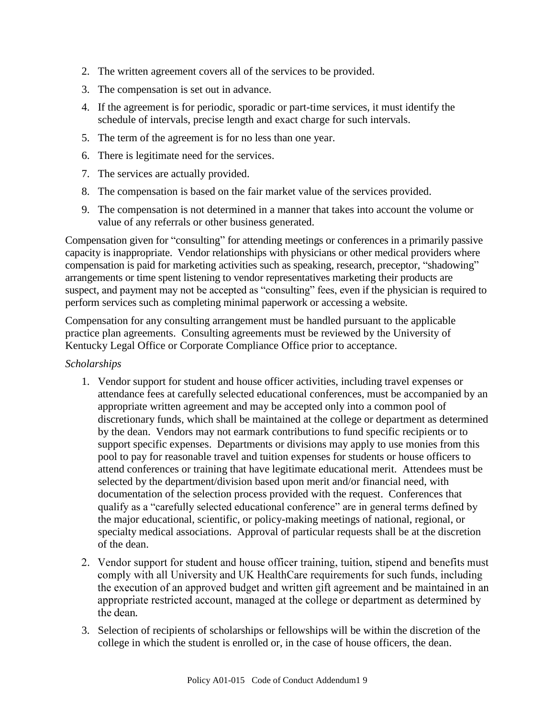- 2. The written agreement covers all of the services to be provided.
- 3. The compensation is set out in advance.
- 4. If the agreement is for periodic, sporadic or part-time services, it must identify the schedule of intervals, precise length and exact charge for such intervals.
- 5. The term of the agreement is for no less than one year.
- 6. There is legitimate need for the services.
- 7. The services are actually provided.
- 8. The compensation is based on the fair market value of the services provided.
- 9. The compensation is not determined in a manner that takes into account the volume or value of any referrals or other business generated.

Compensation given for "consulting" for attending meetings or conferences in a primarily passive capacity is inappropriate. Vendor relationships with physicians or other medical providers where compensation is paid for marketing activities such as speaking, research, preceptor, "shadowing" arrangements or time spent listening to vendor representatives marketing their products are suspect, and payment may not be accepted as "consulting" fees, even if the physician is required to perform services such as completing minimal paperwork or accessing a website.

Compensation for any consulting arrangement must be handled pursuant to the applicable practice plan agreements. Consulting agreements must be reviewed by the University of Kentucky Legal Office or Corporate Compliance Office prior to acceptance.

## <span id="page-8-0"></span>*Scholarships*

- 1. Vendor support for student and house officer activities, including travel expenses or attendance fees at carefully selected educational conferences, must be accompanied by an appropriate written agreement and may be accepted only into a common pool of discretionary funds, which shall be maintained at the college or department as determined by the dean. Vendors may not earmark contributions to fund specific recipients or to support specific expenses. Departments or divisions may apply to use monies from this pool to pay for reasonable travel and tuition expenses for students or house officers to attend conferences or training that have legitimate educational merit. Attendees must be selected by the department/division based upon merit and/or financial need, with documentation of the selection process provided with the request. Conferences that qualify as a "carefully selected educational conference" are in general terms defined by the major educational, scientific, or policy-making meetings of national, regional, or specialty medical associations. Approval of particular requests shall be at the discretion of the dean.
- 2. Vendor support for student and house officer training, tuition, stipend and benefits must comply with all University and UK HealthCare requirements for such funds, including the execution of an approved budget and written gift agreement and be maintained in an appropriate restricted account, managed at the college or department as determined by the dean.
- 3. Selection of recipients of scholarships or fellowships will be within the discretion of the college in which the student is enrolled or, in the case of house officers, the dean.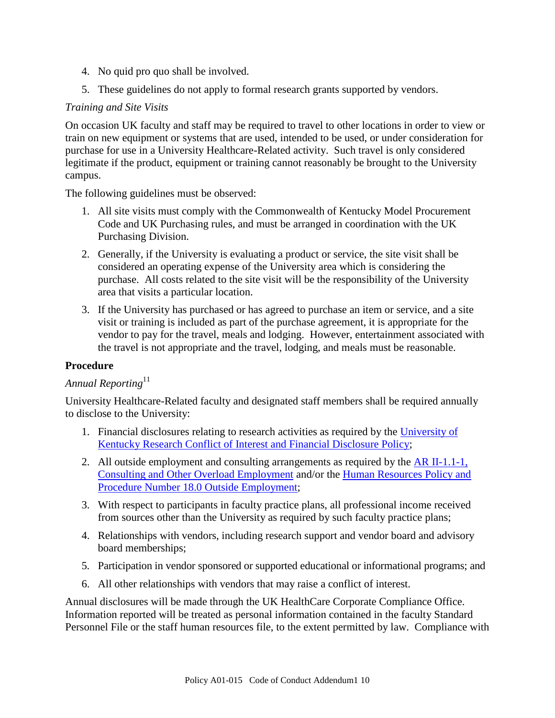- 4. No quid pro quo shall be involved.
- 5. These guidelines do not apply to formal research grants supported by vendors.

## <span id="page-9-0"></span>*Training and Site Visits*

On occasion UK faculty and staff may be required to travel to other locations in order to view or train on new equipment or systems that are used, intended to be used, or under consideration for purchase for use in a University Healthcare-Related activity. Such travel is only considered legitimate if the product, equipment or training cannot reasonably be brought to the University campus.

The following guidelines must be observed:

- 1. All site visits must comply with the Commonwealth of Kentucky Model Procurement Code and UK Purchasing rules, and must be arranged in coordination with the UK Purchasing Division.
- 2. Generally, if the University is evaluating a product or service, the site visit shall be considered an operating expense of the University area which is considering the purchase. All costs related to the site visit will be the responsibility of the University area that visits a particular location.
- 3. If the University has purchased or has agreed to purchase an item or service, and a site visit or training is included as part of the purchase agreement, it is appropriate for the vendor to pay for the travel, meals and lodging. However, entertainment associated with the travel is not appropriate and the travel, lodging, and meals must be reasonable.

## <span id="page-9-1"></span>**Procedure**

# <span id="page-9-2"></span>*Annual Reporting*<sup>11</sup>

University Healthcare-Related faculty and designated staff members shall be required annually to disclose to the University:

- 1. Financial disclosures relating to research activities as required by the [University of](http://www.uky.edu/Regs/files/ar/ar070.pdf)  [Kentucky Research Conflict of Interest and Financial Disclosure Policy;](http://www.uky.edu/Regs/files/ar/ar070.pdf)
- 2. All outside employment and consulting arrangements as required by the  $AR$  II-1.1-1, [Consulting and Other Overload Employment](http://www.uky.edu/Regs/files/ar/ar032.pdf) and/or the [Human Resources Policy and](http://www.uky.edu/HR/policies/hrpp018.html)  [Procedure Number 18.0 Outside Employment;](http://www.uky.edu/HR/policies/hrpp018.html)
- 3. With respect to participants in faculty practice plans, all professional income received from sources other than the University as required by such faculty practice plans;
- 4. Relationships with vendors, including research support and vendor board and advisory board memberships;
- 5. Participation in vendor sponsored or supported educational or informational programs; and
- 6. All other relationships with vendors that may raise a conflict of interest.

Annual disclosures will be made through the UK HealthCare Corporate Compliance Office. Information reported will be treated as personal information contained in the faculty Standard Personnel File or the staff human resources file, to the extent permitted by law. Compliance with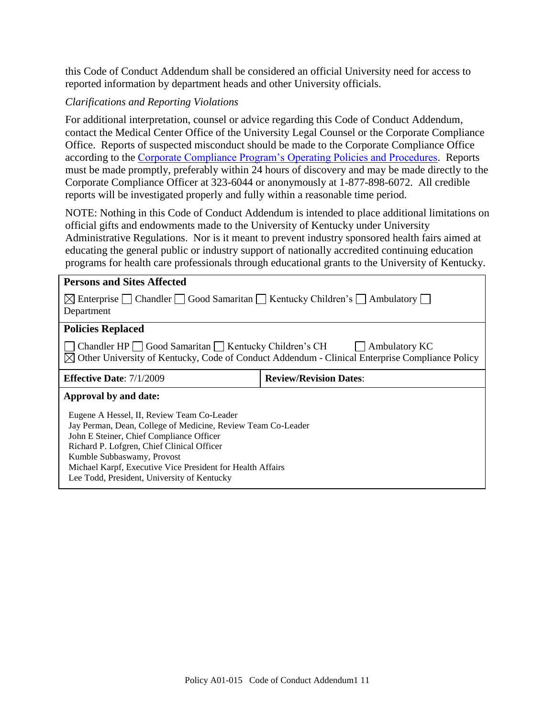this Code of Conduct Addendum shall be considered an official University need for access to reported information by department heads and other University officials.

## <span id="page-10-0"></span>*Clarifications and Reporting Violations*

For additional interpretation, counsel or advice regarding this Code of Conduct Addendum, contact the Medical Center Office of the University Legal Counsel or the Corporate Compliance Office. Reports of suspected misconduct should be made to the Corporate Compliance Office according to the [Corporate Compliance Program's Operating Policies and Procedures.](http://www.ukhealthcare.uky.edu/forstaff/compliance/comply_manual.htm) Reports must be made promptly, preferably within 24 hours of discovery and may be made directly to the Corporate Compliance Officer at 323-6044 or anonymously at 1-877-898-6072. All credible reports will be investigated properly and fully within a reasonable time period.

NOTE: Nothing in this Code of Conduct Addendum is intended to place additional limitations on official gifts and endowments made to the University of Kentucky under University Administrative Regulations. Nor is it meant to prevent industry sponsored health fairs aimed at educating the general public or industry support of nationally accredited continuing education programs for health care professionals through educational grants to the University of Kentucky.

<span id="page-10-4"></span><span id="page-10-3"></span><span id="page-10-2"></span><span id="page-10-1"></span>

| <b>Persons and Sites Affected</b>                                                                                                                                                                                                                                                                                                               |                               |
|-------------------------------------------------------------------------------------------------------------------------------------------------------------------------------------------------------------------------------------------------------------------------------------------------------------------------------------------------|-------------------------------|
| $\boxtimes$ Enterprise Chandler Good Samaritan Kentucky Children's C Ambulatory<br>Department                                                                                                                                                                                                                                                   |                               |
| <b>Policies Replaced</b>                                                                                                                                                                                                                                                                                                                        |                               |
| Chandler HP Good Samaritan Kentucky Children's CH<br>Ambulatory KC<br>$\boxtimes$ Other University of Kentucky, Code of Conduct Addendum - Clinical Enterprise Compliance Policy                                                                                                                                                                |                               |
| <b>Effective Date:</b> $7/1/2009$                                                                                                                                                                                                                                                                                                               | <b>Review/Revision Dates:</b> |
| Approval by and date:                                                                                                                                                                                                                                                                                                                           |                               |
| Eugene A Hessel, II, Review Team Co-Leader<br>Jay Perman, Dean, College of Medicine, Review Team Co-Leader<br>John E Steiner, Chief Compliance Officer<br>Richard P. Lofgren, Chief Clinical Officer<br>Kumble Subbaswamy, Provost<br>Michael Karpf, Executive Vice President for Health Affairs<br>Lee Todd, President, University of Kentucky |                               |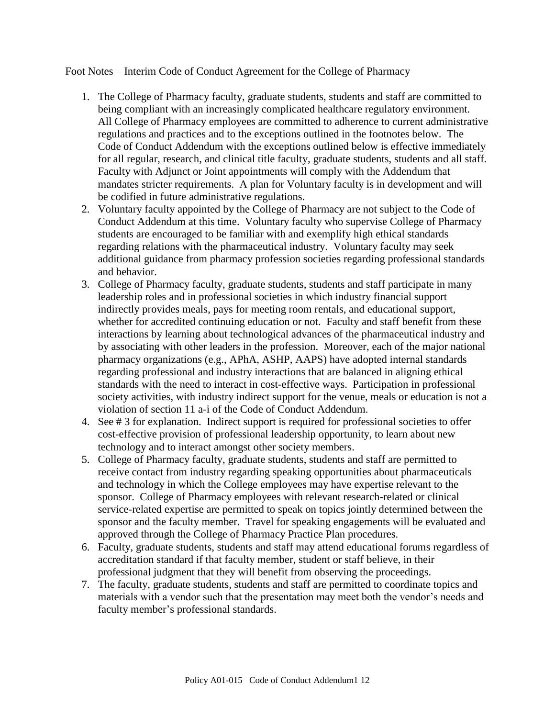Foot Notes – Interim Code of Conduct Agreement for the College of Pharmacy

- 1. The College of Pharmacy faculty, graduate students, students and staff are committed to being compliant with an increasingly complicated healthcare regulatory environment. All College of Pharmacy employees are committed to adherence to current administrative regulations and practices and to the exceptions outlined in the footnotes below. The Code of Conduct Addendum with the exceptions outlined below is effective immediately for all regular, research, and clinical title faculty, graduate students, students and all staff. Faculty with Adjunct or Joint appointments will comply with the Addendum that mandates stricter requirements. A plan for Voluntary faculty is in development and will be codified in future administrative regulations.
- 2. Voluntary faculty appointed by the College of Pharmacy are not subject to the Code of Conduct Addendum at this time. Voluntary faculty who supervise College of Pharmacy students are encouraged to be familiar with and exemplify high ethical standards regarding relations with the pharmaceutical industry. Voluntary faculty may seek additional guidance from pharmacy profession societies regarding professional standards and behavior.
- 3. College of Pharmacy faculty, graduate students, students and staff participate in many leadership roles and in professional societies in which industry financial support indirectly provides meals, pays for meeting room rentals, and educational support, whether for accredited continuing education or not. Faculty and staff benefit from these interactions by learning about technological advances of the pharmaceutical industry and by associating with other leaders in the profession. Moreover, each of the major national pharmacy organizations (e.g., APhA, ASHP, AAPS) have adopted internal standards regarding professional and industry interactions that are balanced in aligning ethical standards with the need to interact in cost-effective ways. Participation in professional society activities, with industry indirect support for the venue, meals or education is not a violation of section 11 a-i of the Code of Conduct Addendum.
- 4. See # 3 for explanation. Indirect support is required for professional societies to offer cost-effective provision of professional leadership opportunity, to learn about new technology and to interact amongst other society members.
- 5. College of Pharmacy faculty, graduate students, students and staff are permitted to receive contact from industry regarding speaking opportunities about pharmaceuticals and technology in which the College employees may have expertise relevant to the sponsor. College of Pharmacy employees with relevant research-related or clinical service-related expertise are permitted to speak on topics jointly determined between the sponsor and the faculty member. Travel for speaking engagements will be evaluated and approved through the College of Pharmacy Practice Plan procedures.
- 6. Faculty, graduate students, students and staff may attend educational forums regardless of accreditation standard if that faculty member, student or staff believe, in their professional judgment that they will benefit from observing the proceedings.
- 7. The faculty, graduate students, students and staff are permitted to coordinate topics and materials with a vendor such that the presentation may meet both the vendor's needs and faculty member's professional standards.